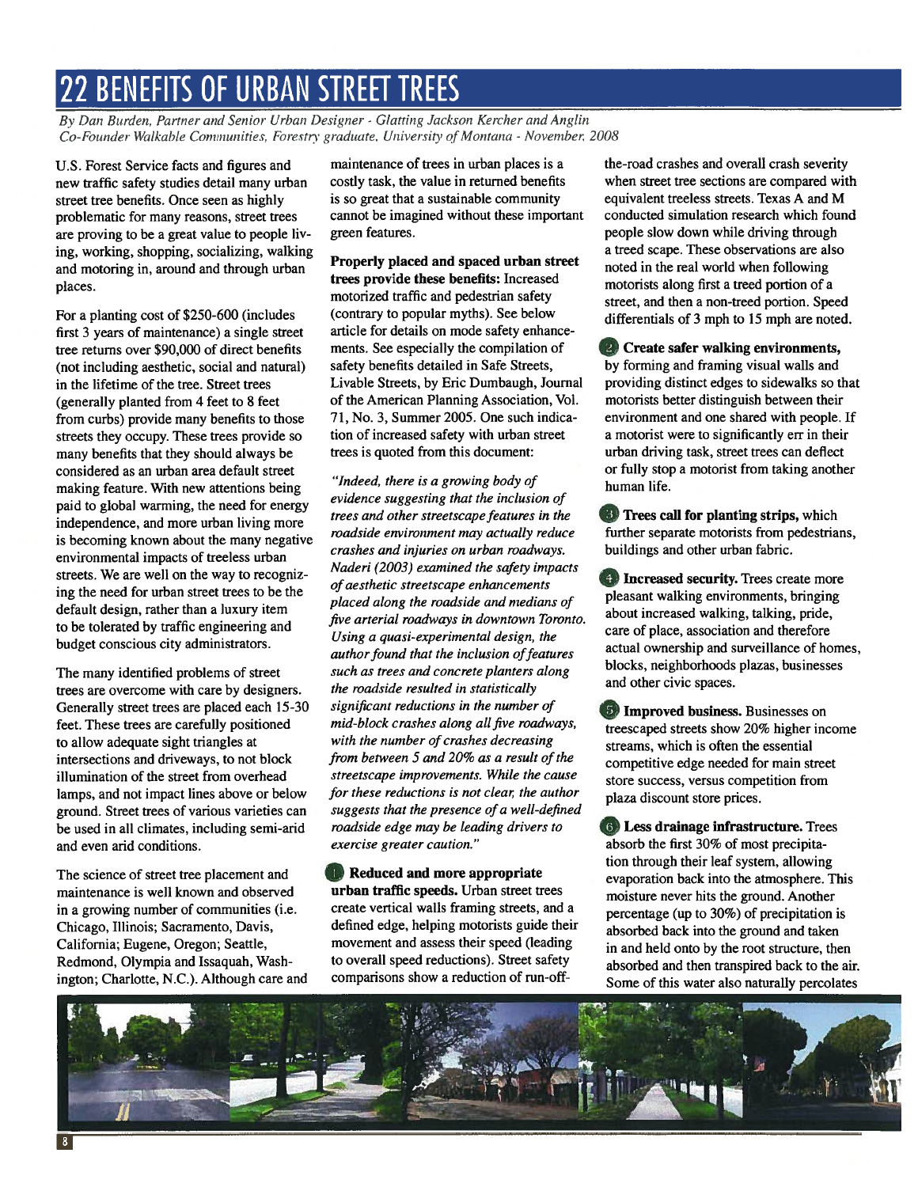## 22 BENEFITS OF URBAN STREET TREES

By Dan Burden, Partner and Senior Urban Designer - Glatting Jackson Kercher and Anglin Co-Founder Walkable Communities, Forestry graduate. University of Montana - November, 2008

U.S. Forest Service facts and figures and new traffic safety studies detail many urban street tree benefits. Once seen as highly problematic for many reasons, street trees are proving to be <sup>a</sup> grea<sup>t</sup> value to people liv ing, working, shopping, socializing, walking and motoring in, around and through urban places.

For <sup>a</sup> planting cost of \$250-600 (includes first 3 years of maintenance) <sup>a</sup> single street tree returns over \$90,000 of direct benefits (not including aesthetic, social and natural) in the lifetime of the tree. Street trees (generally planted from 4 feet to 8 feet from curbs) provide many benefits to those streets they occupy. These trees provide so many benefits that they should always be considered as an urban area default street making feature. With new attentions being paid to global warming, the need for energy independence, and more urban living more is becoming known about the many negative environmental impacts of treeless urban streets. We are well on the way to recogniz ing the need for urban street trees to be the default design, rather than <sup>a</sup> luxury item to be tolerated by traffic engineering and budget conscious city administrators.

The many identified problems of street trees are overcome with care by designers. Generally street trees are placed each 15-30 feet. These trees are carefully positioned to allow adequate sight triangles at intersections and driveways, to not block illumination of the street from overhead lamps, and not impact lines above or below ground. Street trees of various varieties can be used in all climates, including semi-arid and even arid conditions.

The science of street tree placement and maintenance is well known and observed in <sup>a</sup> growing number of communities (i.e. Chicago, Illinois; Sacramento, Davis, California; Eugene, Oregon; Seattle, Redmond, Olympia and Issaquah, Wash ington; Charlotte, N.C.). Although care and

maintenance of trees in urban places is <sup>a</sup> costly task, the value in returned benefits is so grea<sup>t</sup> that <sup>a</sup> sustainable community cannot be imagined without these important green features.

Properly placed and spaced urban street trees provide these benefits: Increased motorized traffic and pedestrian safety (contrary to popular myths). See below article for details on mode safety enhance ments. See especially the compilation of safety benefits detailed in Safe Streets, Livable Streets, by Eric Dumbaugh, Journal of the American Planning Association, Vol. 71, No. 3, Summer 2005. One such indica tion of increased safety with urban street trees is quoted from this document:

"Indeed, there is <sup>a</sup> growing body of evidence suggesting that the inclusion of trees and other streetscape features in the roadside environment may actually reduce crashes and injuries on urban roadways. Naderi (2003) examined the safety impacts of aesthetic streetscape enhancements placed along the roadside and medians of five arterial roadways in downtown Toronto. Using <sup>a</sup> quasi-experimental design, the author found that the inclusion of features such as trees and concrete planters along the roadside resulted in statistically significant reductions in the number of mid-block crashes along all five roadways, with the number of crashes decreasing from between 5 and 20% as a result of the streetscape improvements. While the cause for these reductions is not clear, the author suggests that the presence of <sup>a</sup> well-defined roadside edge may be leading drivers to exercise greater caution."

**Reduced and more appropriate** urban traffic speeds. Urban street trees create vertical walls framing streets, and <sup>a</sup> defined edge, helping motorists guide their movement and assess their speed (leading to overall speed reductions). Street safety comparisons show <sup>a</sup> reduction of run-offthe-road crashes and overall crash severity when street tree sections are compared with equivalent treeless streets. Texas A and M conducted simulation research which found people slow down while driving through <sup>a</sup> treed scape. These observations are also noted in the real world when following motorists along first <sup>a</sup> treed portion of <sup>a</sup> street, and then <sup>a</sup> non-treed portion. Speed differentials of 3 mph to 15 mph are noted.

<sup>Q</sup> Create safer walking environments, by forming and framing visual walls and providing distinct edges to sidewalks so that motorists better distinguish between their environment and one shared with people. If <sup>a</sup> motorist were to significantly err in their urban driving task, street trees can deflect or fully stop <sup>a</sup> motorist from taking another human life.

**Trees call for planting strips, which** further separate motorists from pedestrians, buildings and other urban fabric.

**1 Increased security.** Trees create more pleasant walking environments, bringing about increased walking, talking, pride, care of place, association and therefore actual ownership and surveillance of homes, blocks, neighborhoods plazas, businesses and other civic spaces.

**Improved business.** Businesses on treescaped streets show 20% higher income streams, which is often the essential competitive edge needed for main street store success, versus competition from plaza discount store prices.

**(6) Less drainage infrastructure.** Trees absorb the first 30% of most precipita tion through their leaf system, allowing evaporation back into the atmosphere. This moisture never hits the ground. Another percentage (up to 30%) of precipitation is absorbed back into the ground and taken in and held onto by the root structure, then absorbed and then transpired back to the air. Some of this water also naturally percolates